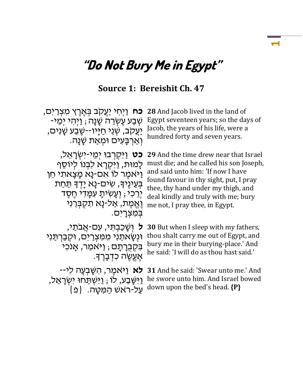# **"Do Not Bury Me in Egypt"**

#### **Source 1: Bereishit Ch. 47**

**כח** וַיְחִ י יַעֲקֹב בְ אֶ רֶ ץ מִ צְ רַ יִם, -שְׁבַע עֵשְׂרֵה שֶׁנַַה; וַיְהִי יִמֵי <u>ֿי</u>ַעֲקָב, שְׁנֵי חַיָּיו--שֶׁבַע שָׁנִים, ּוְ אַרְבַּעָים וּמָאַת שַׁנַה.

**ָכֹט** וַיִּקְרְבוּ יְמֵי-יִשְׂרָאֵל, למוּת, ויּקרא לבנו ליוסף ֿוַיאמֶר לו אִם-נַא מַצַּאתִי חֵן בְּעֵינֶיךָ, שִׂים-נָא יָדְדָ תַּחַת יְרֵכִי; וְעָשִׂיתָ עִמָּדִי חֵסֵד וֶאֱמֶת, אַל-נָא תִקְבְּרֵנִי במצרים.

ל וְשָׁכַבְתִּי, עִם-אֲבתַי, וּנְשָׂאתַני מִמִּצְרַיִם, וּקְבַרְתַּנִי בִקְבְרָתָם; <u>ו</u>יּאמַר, אַנכִי אַעַשֶׂה כִּדְבָרֶךָ.

לא וַיאמֶר, הִשֲׁבְעָה לִי--ַוַיִּשֶׁבַע, לֹוֹ , וַיִּשְׁתַּחוּ יִשְׂרָאֵל, עַל-ראש הַמַּטַה. {פ

**28** And Jacob lived in the land of Egypt seventeen years; so the days of Jacob, the years of his life, were a hundred forty and seven years.

**29** And the time drew near that Israel must die; and he called his son Joseph, and said unto him: 'If now I have found favour in thy sight, put, I pray thee, thy hand under my thigh, and deal kindly and truly with me; bury me not, I pray thee, in Egypt.

**30** But when I sleep with my fathers, thou shalt carry me out of Egypt, and bury me in their burying-place.' And he said: 'I will do as thou hast said.'

**31** And he said: 'Swear unto me.' And he swore unto him. And Israel bowed down upon the bed's head. **{P}**

**1**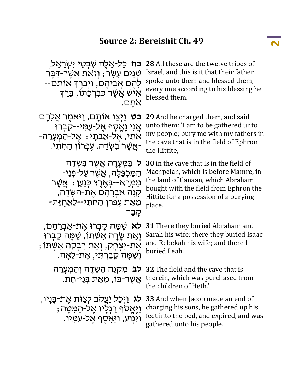#### **Source 2: Bereishit Ch. 49 <sup>2</sup>**

**כֹּח** כַּל-אֲלֶה שֶׁבָטֶי יִשְׂרָאֲל, ֹשְׁ יֶנִים עַשָׂר; וְזאת אֲשֶׁר-דִּבֶּר להם אביהם, ויברך אותם--ָ אִישׁ אֲשֶׁר כְּבִרְכָתוֹ, בֵּרַד אֹתָׁ ם.

**כּט** וַיִּצַו אוֹתַּם, וַיֹּאמֶר אֲלֶהֶם אֲנִי נֵאֱסָף אֵל-עַמִּי--קִבְרוּ ּאֹתִי, אֶל-אֲבֹתָי ּ אֶל-הַמְּעָרָה-ַ -אֲשֶׁר בִּשְׂדֵה, עֶפְרוֹן הַחִתִּי.

**ל** בַּמַּעַרה אַשִׁר בַּשִּׂדה ּהַמַּכְפֵּלָה, אֲשֶׁר עַל-פְּנֵי-ַמַמְרֵא--בְּאֶרֶץ כְּנָעַן ִּ אֲשֶׁר קָנָה אַבְרָהָם אֶת-הַשָּׂדֶה, מֵ אֵ ת עֶ פְ רֹן הַ חִ תִ י --לַאֲ חֻ זַת- קָׁ בֶ ר.

**לא** שַׁמַּה קָבְרוּ אֵת-אַבְרָהָם, וְאֵת שָׂרָה אִשְׁתּוֹ, שָׁמָּה קָבְרוּ ּ, יִאֶת -יִצְחָק, וְאֵת רִבְקָה אִשְׁתּוֹ וִשַּׁמַה קָ<mark>בַרְ</mark>תִּי, אֶת-לֵאָה.

> **לב** מִקְנֵה הַשָּׂדֵה וְהַמְּעָרָה ּאֲשֶׁר-בֹּו, מֵאֵת בְּנֵי-חֵת.

**לג** וַיְכַל יַעֲקֹב לְצַ ּוֹת אֶ ת-בָׁ נָׁיו, ֿוַיֶּאֱסֹף רַגְלָיו אֶל-הַמַּטָה; <u>וַיְּגְו</u>ע, <u>וַי</u>ְּאָסֵף אֵל-עַמַּיו. **28** All these are the twelve tribes of Israel, and this is it that their father spoke unto them and blessed them; every one according to his blessing he blessed them.

**29** And he charged them, and said unto them: 'I am to be gathered unto my people; bury me with my fathers in the cave that is in the field of Ephron the Hittite,

**30** in the cave that is in the field of Machpelah, which is before Mamre, in the land of Canaan, which Abraham bought with the field from Ephron the Hittite for a possession of a buryingplace.

**31** There they buried Abraham and Sarah his wife; there they buried Isaac and Rebekah his wife; and there I buried Leah.

**32** The field and the cave that is therein, which was purchased from the children of Heth.'

**33** And when Jacob made an end of charging his sons, he gathered up his feet into the bed, and expired, and was gathered unto his people.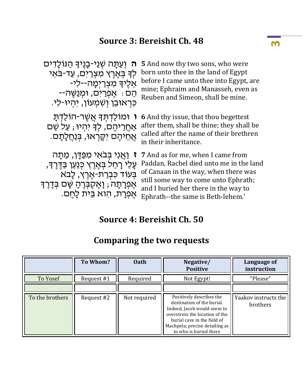# **Source 3: Bereishit Ch. 48 32 3**

**ּה** וְעַתַּה שְׁנֵי-בָּנֵיךָּ הַנּוֹלַדִים ַלְךָ בְאֶרֶץ מִצְרַיִם, עַד-בֹּאִי אֵלֶיךָ מִצְרַיִמְ*ה--לִי-*ּהֵם: אֶפְרַיִם, וּמְנַשֶּׁה--כִּרְאוּבֵן וְשְׁמְעֹוֹן, יִהְיוּ-לִי. **5** And now thy two sons, who were born unto thee in the land of Egypt before I came unto thee into Egypt, are mine; Ephraim and Manasseh, even as Reuben and Simeon, shall be mine. **ו** ּומֹולַדְ תְ ך אֲ שֶ ר- הֹולַדְ תָׁ אַחֲרֵיהֶם, לִךְ יִהְיוּ ; עַל שֵׁם ּאֲחֵיהֶם יִקָּרְאוּ, בְּנַחֲלָתָם. **6** And thy issue, that thou begettest after them, shall be thine; they shall be called after the name of their brethren in their inheritance. **ז** וַאֲ נִי בְ בֹאִ י מִ פַדָׁ ן, מֵ תָׁ ה ּעָלַי רָחֵל בְאֶרֶץ כְּנַעַן בַּדֶּרֶדְּ, בְעוֹד כִּבְרַת-אֶרֵץ, לָבא אֶפְרָתָה ; וָאֶקְבְּרֶהָ שָׁם בְּדֶרֶךְ **7** And as for me, when I came from Paddan, Rachel died unto me in the land of Canaan in the way, when there was still some way to come unto Ephrath;

אֵפְרָת, הִוא בֵּית לָחֵם. and I buried her there in the way to Ephrath--the same is Beth-lehem.'

# **Source 4: Bereishit Ch. 50**

|                 | To Whom?   | <b>Oath</b>  | Negative/<br><b>Positive</b>                                                                                                                                                                                       | Language of<br>instruction       |
|-----------------|------------|--------------|--------------------------------------------------------------------------------------------------------------------------------------------------------------------------------------------------------------------|----------------------------------|
| To Yosef        | Request #1 | Required     | Not Egypt!                                                                                                                                                                                                         | "Please"                         |
|                 |            |              |                                                                                                                                                                                                                    |                                  |
| To the brothers | Request #2 | Not required | Positively describes the<br>destination of the burial.<br>Indeed, Jacob would seem to<br>overstress the location of the<br>burial cave in the field of<br>Machpela; precise detailing as<br>to who is buried there | Yaakov instructs the<br>brothers |

# **Comparing the two requests**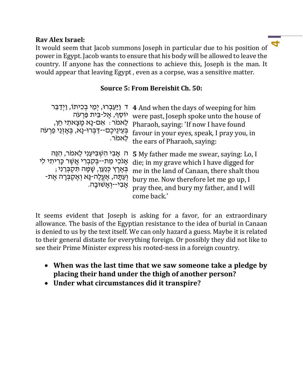#### **Rav Alex Israel:**

It would seem that Jacob summons Joseph in particular due to his position of power in Egypt. Jacob wants to ensure that his body will be allowed to leave the country. If anyone has the connections to achieve this, Joseph is the man. It would appear that leaving Egypt , even as a corpse, was a sensitive matter.

#### **Source 5: From Bereishit Ch. 50:**

| ד וַיַּעַבְרוּ, יְמֵי בְכִיתוֹ, וַיְדַבֵּר                                                                                                                                                              | 4 And when the days of weeping for him                                                                                                                                                                                                          |
|---------------------------------------------------------------------------------------------------------------------------------------------------------------------------------------------------------|-------------------------------------------------------------------------------------------------------------------------------------------------------------------------------------------------------------------------------------------------|
| יוֹסֵף, אֵל-בֵּית פַּרְעֹה                                                                                                                                                                              | were past, Joseph spoke unto the house of                                                                                                                                                                                                       |
| לֵאמֹר ּ אִם-נָא מָצָאתִי חֵן,                                                                                                                                                                          | Pharaoh, saying: 'If now I have found                                                                                                                                                                                                           |
| בְּעֵינֵיכֶם--דַּבְּרוּ-נָא, בִּאָזָנֵי פַרְעֹה                                                                                                                                                         | favour in your eyes, speak, I pray you, in                                                                                                                                                                                                      |
| לֵאמֹר.                                                                                                                                                                                                 | the ears of Pharaoh, saying:                                                                                                                                                                                                                    |
| ּה אָבִי הִשְׁבִּיעַנִי לֵאמֹר, הִנֵּה<br>אַנֹכִי מֵת--בִּקְבִרִי אֲשֵׁר כָּרִיתִי לִי<br>ַבְּאֶרֶץ כְּנַעַן, שָׁמָּה תִּקְבְּרֵנִי<br>וְעַתָּה, אֶעֱלֶה-נָּא וְאֶקְבְּרָה אֶת-<br>ּאֲבִי--וְאֲשׁוּבַה. | <b>5</b> My father made me swear, saying: Lo, I<br>die; in my grave which I have digged for<br>me in the land of Canaan, there shalt thou<br>bury me. Now therefore let me go up, I<br>pray thee, and bury my father, and I will<br>come back.' |

It seems evident that Joseph is asking for a favor, for an extraordinary allowance. The basis of the Egyptian resistance to the idea of burial in Canaan is denied to us by the text itself. We can only hazard a guess. Maybe it is related to their general distaste for everything foreign. Or possibly they did not like to see their Prime Minister express his rooted-ness in a foreign country.

- **When was the last time that we saw someone take a pledge by placing their hand under the thigh of another person?**
- **Under what circumstances did it transpire?**

**4**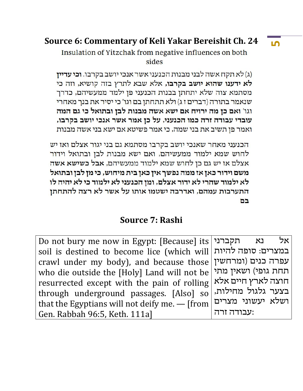# **Source 6: Commentary of Keli Yakar Bereishit Ch. 24 <sup>5</sup>**

Insulation of Yitzchak from negative influences on both sides

(ג) לא תקח אשה לבני מבנות הכנעני אשר אנכי יושב בקרבו. **וכי עדיין** לא ידענו שהוא יושב בקרבו, אלא שבא לתרץ בזה קושיא, וזה כי מסתמא צוה שלא יתחתן בבנות הכנעני פן ילמד ממעשיהם, כדרך שנאמר בתורה (דברים ז ג) ולא תתחתן בם וגו' כי יסיר את בנך מאחרי וגו' ואם כן מה ירויח אם ישא אשה מבנות לבן ובתואל כי גם המה עובדי עבודה זרה כמו הכנעני, על כן אמר אשר אנכי יושב בקרבו, ואמר פן תשיב את בני שמה, כי אמר פשיטא אם ישא בני אשה מבנות

הכנעני מאחר שאנכי יושב בקרבו מסתמא גם בני יגור אצלם ואז יש לחוש שמא ילמוד ממעשיהם, ואם ישא מבנות לבן ובתואל וידור אצלם אז יש גם כן לחוש שמא ילמוד ממעשיהם, אבל כשישא אשה משם וידור כאן אז ממה נפשך אין כאן בית מיחוש, כי מן לבן ובתואל לא ילמוד שהרי לא ידור אצלם, ומן הכנעני לא ילמוד כי לא יהיה לו התערבות עמהם, ואדרבה ישטמו אותו על אשר לא רצה להתחתן בם

### **Source 7: Rashi**

Do not bury me now in Egypt: [Because] its soil is destined to become lice (which will crawl under my body), and because those who die outside the [Holy] Land will not be resurrected except with the pain of rolling through underground passages. [Also] so that the Egyptians will not deify me. — [from Gen. Rabbah 96:5, Keth. 111a]

אל נא תקברני במצרים: סופה להיות עפרה כנים )ומרחשין תחת גופי) ושאין מתי חוצה לארץ חיים אלא בצער גלגול מחילות, ושלא יעשוני מצרים :עבודה זרה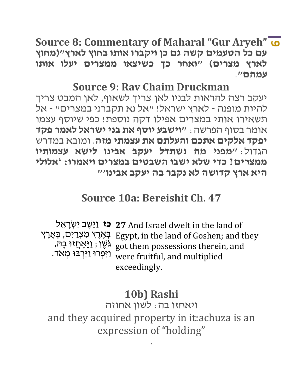**Source 8: Commentary of Maharal "Gur Aryeh" <sup>6</sup> עם כל הטעמים קשה גם כן ויקברו אותו בחוץ לארץ")מחוץ לארץ מצרים( "ואחר כך כשיצאו ממצרים יעלו אותו עמהם"**.

# **Source 9: Rav Chaim Druckman**

יעקב רצה להראות לבניו לאן צריך לשאוף, לאן המבט צריך להיות מופנה - לארץ ישראל! "אל נא תקברני במצרים" - אל תשאירו אותי במצרים אפילו דקה נוספת! כפי שיוסף עצמו אומר בסוף הפרשה: **"וישבע יוסף את בני ישראל לאמר פקד יפקד אלקים אתכם והעלתם את עצמתי מזה**. ומובא במדרש הגדול: **"מפני מה נשתדל יעקב אבינו לישא עצמותיו ממצרים? כדי שלא ישבו השבטים במצרים ויאמרו: 'אלולי היא ארץ קדושה לא נקבר בה יעקב אבינו'"** 

# **Source 10a: Bereishit Ch. 47**

**כז** וַיֵשֶ ב יִשְ רָׁ אֵ ל **27** And Israel dwelt in the land of ּ בְּאֶרֶץ מִצְרַיִם, בְּאֶרֶץ Egypt, in the land of Goshen; and they ּגֹּשֶׁן; וַיֵּאֲחֲזוּ בָה, got them possessions therein, and יִיכְּרוּ וַיִּרְבּוּ מְאד.<br>עוּפְרוּ וַיִּרְבּוּ מְאד. exceedingly.

# **10b) Rashi**

ויאחזו בה: לשון אחוזה and they acquired property in it:achuza is an expression of "holding" .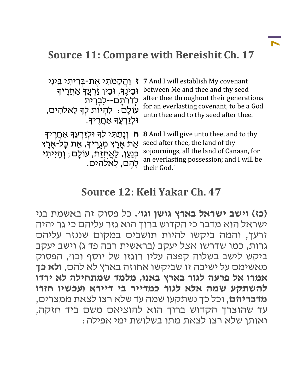# **Source 11: Compare with Bereishit Ch. 17**

**ז** וַהֲ קִ מֹתִ י אֶ ת-בְ רִ יתִ י בֵ ינִי וּבֵינֶךָ, וּבֵין זַרְעֲךָ אַחֲרֶיךָ לְדֹרֹתָם--לִבְרִית עֹולָׁם: לִהְ יֹות לְך לֵאֹלהִ ים, ּוּלְ<u>זַ</u>רְעֲךָ אַחֲרֶיךָ.

**7** And I will establish My covenant between Me and thee and thy seed after thee throughout their generations for an everlasting covenant, to be a God unto thee and to thy seed after thee.

אֵת אֶרֶץ מְגַרֶיךָּ, אֵת כָּל-אֵרֵץ כִּנַעַן, <u>לַאֲחָז</u>ּת, עוֹלָם; וְהָייתִי להם, לאלהים.

ת וְנָתַתִּי לְךָ וּלְזַרְעֲךָ אַחֲרֶיךָ a And I will give unto thee, and to thy seed after thee, the land of thy sojournings, all the land of Canaan, for an everlasting possession; and I will be their God.'

# **Source 12: Keli Yakar Ch. 47**

**)כז( וישב ישראל בארץ גושן וגו'.** כל פסוק זה באשמת בני ישראל הוא מדבר כי הקדוש ברוך הוא גזר עליהם כי גר יהיה זרעך, והמה ביקשו להיות תושבים במקום שנגזר עליהם גרות, כמו שדרשו אצל יעקב (בראשית רבה פד ג) וישב יעקב ביקש לישב בשלוה קפצה עליו רוגזו של יוסף וכו', הפסוק מאשימם על ישיבה זו שביקשו אחוזה בארץ לא להם, **ולא כך אמרו אל פרעה לגור בארץ באנו, מלמד שמתחילה לא ירדו להשתקע שמה אלא לגור כמדייר בי דיירא ועכשיו חזרו מדבריהם**, וכל כך נשתקעו שמה עד שלא רצו לצאת ממצרים, עד שהוצרך הקדוש ברוך הוא להוציאם משם ביד חזקה, ואותן שלא רצו לצאת מתו בשלושת ימי אפילה: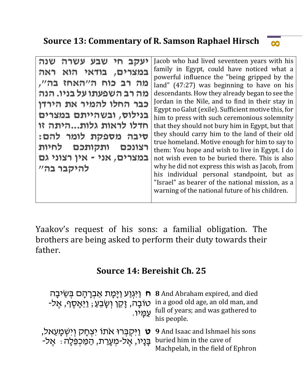**Source 13: Commentary of R. Samson Raphael Hirsch <sup>8</sup>**

| יעקב חי שבע עשרה שנה<br>במצרים, בודאי הוא ראה<br>מה רב כוח ה״האחז בה״,<br>מה רב השפעתו על בניו. הנה<br>כבר החלו להמיר את הירדן<br>בנילוס, ובשהייתם במצרים<br>חדלו לראות גלותהיתה זו<br>סיבה מספקת לומר להם:<br>רצונכם ותקותכם לחיות<br>במצרים, אני - אין רצוני גם | Jacob who had lived seventeen years with his<br>family in Egypt, could have noticed what a<br>powerful influence the "being gripped by the<br>land" $(47:27)$ was beginning to have on his<br>descendants. How they already began to see the<br>Jordan in the Nile, and to find in their stay in<br>Egypt no Galut (exile). Sufficient motive this, for<br>him to press with such ceremonious solemnity<br>that they should not bury him in Egypt, but that<br>they should carry him to the land of their old<br>true homeland. Motive enough for him to say to<br>them: You hope and wish to live in Egypt. I do<br>not wish even to be buried there. This is also<br>why he did not express this wish as Jacob, from |
|-------------------------------------------------------------------------------------------------------------------------------------------------------------------------------------------------------------------------------------------------------------------|------------------------------------------------------------------------------------------------------------------------------------------------------------------------------------------------------------------------------------------------------------------------------------------------------------------------------------------------------------------------------------------------------------------------------------------------------------------------------------------------------------------------------------------------------------------------------------------------------------------------------------------------------------------------------------------------------------------------|
|                                                                                                                                                                                                                                                                   |                                                                                                                                                                                                                                                                                                                                                                                                                                                                                                                                                                                                                                                                                                                        |
| להיקבר בה"                                                                                                                                                                                                                                                        | his individual personal standpoint, but as<br>"Israel" as bearer of the national mission, as a<br>warning of the national future of his children.                                                                                                                                                                                                                                                                                                                                                                                                                                                                                                                                                                      |

Yaakov's request of his sons: a familial obligation. The brothers are being asked to perform their duty towards their father.

# **Source 14: Bereishit Ch. 25**

| יָאָסֶף, אֶל- in a good old age, an old man, and                            | ת נַיּגְנַע וַיָּכָות אַבְרָהָם בִּשֵׂיבָה 8 And Abraham expired, and died<br><u>עמיו.</u><br>full of years; and was gathered to<br>his people. |
|-----------------------------------------------------------------------------|-------------------------------------------------------------------------------------------------------------------------------------------------|
| פ ט וַיּקִבְּרוּ אתוֹ יצְחַק וִישְׁמַעֵאל, 9 And Isaac and Ishmael his sons | buried him in the cave of                                                                                                                       |
| ַּבַּנַיו, אֵל-מִעָרַת, הַמַּכְפֵּלָה ִּ אֶל-                               | Machpelah, in the field of Ephron                                                                                                               |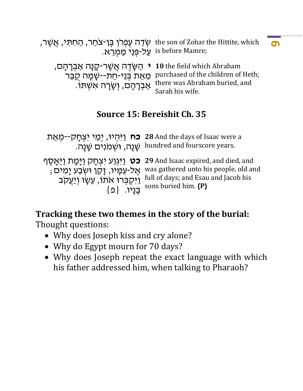| the son of Zohar the Hittite, which שָׂדֵה עֵפְרֹן בֶּן-צֹחַר, הַחִתְּי, אֲשֶׁר,                    | .is before Mamre; עַל-פְּנֵי מֲמְרָא                                                                                    |  |
|-----------------------------------------------------------------------------------------------------|-------------------------------------------------------------------------------------------------------------------------|--|
| , הַשֲׂדֵּה אֲשֶׁר-קָנָה אַבְרָהָם ∙ 10 the field which Abraham<br>ֹאַבְרָהָם, וְשָׂרָה אִשָּׁתּוֹ. | purchased of the children of Heth; מֵאֵת בְּנֵי-חֵת--שָׁמָּה קֻבַּר<br>there was Abraham buried, and<br>Sarah his wife. |  |

# **Source 15: Bereishit Ch. 35**

**כח** וַיִּהְיוּ, יְמֵי יִצְחָק--מְאַת 28 And the days of Isaac were a שָׁנָה, וּשְׁמֹנִים שָׁנָה. 'mundred and fourscore years. **כט** וַיִּגְוַע יִצְחָק וַיָּמֶת וַיֵּאָסֶף 29 And Isaac expired, and died, and אֶ ל-עַ מָׁ יו, זָׁקֵ ן ּושְ בַ ע יָׁמִ ים; וַיּקְבְּרוּ אתוֹ, עֵשָׂו וְיַעֲקב was gathered unto his people, old and full of days; and Esau and Jacob his

# **Tracking these two themes in the story of the burial:**

Thought questions:

• Why does Joseph kiss and cry alone?

 $\{ \Omega \}$ בְּנָיוֹ.  $\{ \mathsf{c} \}$ 

- Why do Egypt mourn for 70 days?
- Why does Joseph repeat the exact language with which his father addressed him, when talking to Pharaoh?

sons buried him. **{P}**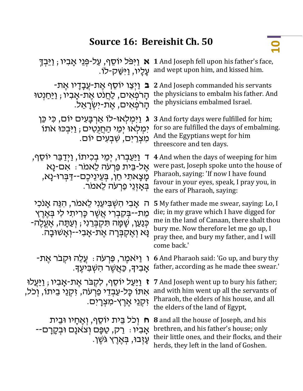# **Source 16: Bereishit Ch. 50**

| א וַיִּפּל יוֹסֵף, עַל-פְּנֵי אָביו ; וַיֵּבְדָ<br>ַעֲלֵיו, וַיּשֵׁק-לוֹ                                                                                                                            | 1 And Joseph fell upon his father's face,<br>and wept upon him, and kissed him.                                                                                                                                                                 |
|-----------------------------------------------------------------------------------------------------------------------------------------------------------------------------------------------------|-------------------------------------------------------------------------------------------------------------------------------------------------------------------------------------------------------------------------------------------------|
| ב וַיִּצַו יוֹסֵף אֵת-עֲבָדָיו אֵת-<br>ּהָרפְאִים, <u>לַחֲ</u> נט אֶת-אָבִיו ; <u>ויַ</u> חַנְטוּ<br>ּהַרפְאִים, אֵת-יִשְׂרַאֵל.                                                                    | 2 And Joseph commanded his servants<br>the physicians to embalm his father. And<br>the physicians embalmed Israel.                                                                                                                              |
| ג וַיּמִלְאוּ-לוֹ אַרְבָּעִים יוֹם, כִּי כֵּן<br>ימִלְאוּ יִמֵי הַחֲנָטִים ; וַיּבְכּוּ אתוֹ<br>מצרים, שבעים יום.                                                                                   | <b>3</b> And forty days were fulfilled for him;<br>for so are fulfilled the days of embalming.<br>And the Egyptians wept for him<br>threescore and ten days.                                                                                    |
| ד <u>וַיַּע</u> בְרוּ, יְמֵי בְכִיתוֹ, וַיְדַבֵּר יוֹסֵף,<br>אֶל-בֵּית פַּרְעֹה לֵאמר: אִם-נַא<br>מָצָאתִי חֵן, בְּעֵינֵיכֶם--דַבְּרוּ-נָא,<br>ַבְאַזְנֵי פַרְעַה לֵאמר.                            | <b>4</b> And when the days of weeping for him<br>were past, Joseph spoke unto the house of<br>Pharaoh, saying: 'If now I have found<br>favour in your eyes, speak, I pray you, in<br>the ears of Pharaoh, saying:                               |
| ּה אֲבִי הִשְׁבִּיעֲנִי לֵאמר, הִנֵּה אֲנכִי<br>מֵת--בְּקִבְרִי אֲשֶׁר כָּרִיתִי לִי בְּאֶרֶץ<br>ּכְּנַעַן, שָׁמָּה תִּקְבְּרֵנִי ; וְעַתָּה, אֶעֱלֶה-<br>ַנְא וְאֶקְבְּרָה אֶת-אָבִי--וְאָשׁוּבָה. | <b>5</b> My father made me swear, saying: Lo, I<br>die; in my grave which I have digged for<br>me in the land of Canaan, there shalt thou<br>bury me. Now therefore let me go up, I<br>pray thee, and bury my father, and I will<br>come back.' |
| ּר וַיּאמֶר, פַּרְעֹה ּ: עֲלֵה וּקְבֹר אֶת-<br>ָאֲבִיךָ, כַּאֲשֶׁר הָשְׁבִּיעֵךָ.                                                                                                                   | <b>6</b> And Pharaoh said: 'Go up, and bury thy<br>father, according as he made thee swear.'                                                                                                                                                    |
| <b>ז</b> וַיַּעַל יוֹסֵף, לִקְבּר אֵת-אָבִיו ; וַיַּעֲלוּ<br>אִתּוֹ כַּל-עַבְדֵי פַרְעֹה, זִקְנֵי בֵיתוֹ, וְכֹל,<br>זקני אַרֵץ-מִצְרַים.                                                            | <b>7</b> And Joseph went up to bury his father;<br>and with him went up all the servants of<br>Pharaoh, the elders of his house, and all<br>the elders of the land of Egypt,                                                                    |
| ח וְכֹל בֵּית יוֹסֵף, וְאֵחָיו וּבֵית<br>אָבִיו : רַק, טַפָּם וִצאנָם וּבִקָרָם--<br>ּעָזָבוּ, בִּאֲרֵץ גּשֵׁן.                                                                                     | <b>8</b> and all the house of Joseph, and his<br>brethren, and his father's house; only<br>their little ones, and their flocks, and their<br>herds, they left in the land of Goshen.                                                            |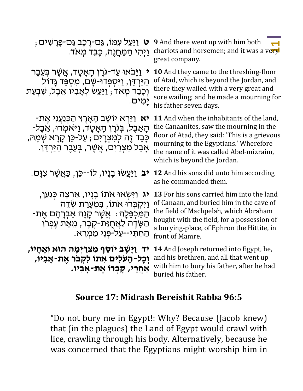| <b>ָט</b> וַיַּעַל עִמּוֹ, גַּם-רֵכֵב גַּם-פָּרָשִׁים<br><u>וַיְהִי הַמַּחֲנֶה, כָּבֵד מְאִד.</u>                                                                                                                               | <b>9</b> And there went up with him both<br>chariots and horsemen; and it was a very<br>great company.                                                                                                                                                  |
|---------------------------------------------------------------------------------------------------------------------------------------------------------------------------------------------------------------------------------|---------------------------------------------------------------------------------------------------------------------------------------------------------------------------------------------------------------------------------------------------------|
| י וַיָּבאוּ עַד-גּרֶן הָאָטָד, אֲשֶׁר בְּעֵבֵר<br>הַיַּרְדֵן, וַיּסְפְדוּ-שָׁם, מִסְפֵּד גַּדוֹל<br>וִכָּבֶד מִאד; <u>וַיַּע</u> שׂ לְאָבִיו אֵבֵל, שִׁבְעַת<br>ימים.                                                           | 10 And they came to the threshing-floor<br>of Atad, which is beyond the Jordan, and<br>there they wailed with a very great and<br>sore wailing; and he made a mourning for<br>his father seven days.                                                    |
| <b>ֿיא</b> וַיַּרְא יוֹשֵׁב הָאָרֶץ הַכְּנַעֲנִי אֶת־<br>ּהָאֵבֶל, בְּגֹרֶן הָאָטָד, וַיּאמְרוּ, אֵבֶל-<br>כָּבֵד זֶה לְמִצְרַיִּם ; עַל-כֵּן קָרָא שְׁמָהּ,<br>ֹאָבֵל מִצְרַים, אֲשֶׁר, בְּעֵבֶר הַיַּרְדֵן.                   | 11 And when the inhabitants of the land,<br>the Canaanites, saw the mourning in the<br>floor of Atad, they said: 'This is a grievous<br>mourning to the Egyptians.' Wherefore<br>the name of it was called Abel-mizraim,<br>which is beyond the Jordan. |
| <b>יב</b> וַיַּעֲשׂוּ בָנָיו, לוֹ--כֵּן, כַּאֲשֶׁר צִוָּם.                                                                                                                                                                      | 12 And his sons did unto him according<br>as he commanded them.                                                                                                                                                                                         |
| <b>יג</b> וַיּשְׂאוּ אתוֹ בָנָיו, אַרְצָה כִּנַעַן,<br>וַיִּקְבְּרוּ אתוֹ, בִּמְע <u>ָר</u> ת שְׂדֵה<br>ּהַמַּכְפֵּלָה ִּ אֲשֶׁר קָנָה אַבְרָהָם אֶת-<br>הַשָּׂדֶה לַאֲחֻזַּת-קֶבֶר, מֵאֵת עֶפְרֹן<br><u>החתי--על-פני ממרא.</u> | 13 For his sons carried him into the land<br>of Canaan, and buried him in the cave of<br>the field of Machpelah, which Abraham<br>bought with the field, for a possession of<br>a burying-place, of Ephron the Hittite, in<br>front of Mamre.           |
| יד וַיַּשָׁב יוֹסֵף מִצְרַיְמָה הוּא וְאֶחָיו,<br>וְכָל-הָעלים אתו לקִבּר אֵת-אָבִיו,<br>אַחֲרִי, קָבְרוֹ אֵת-אֲבִיו.                                                                                                           | 14 And Joseph returned into Egypt, he,<br>and his brethren, and all that went up<br>with him to bury his father, after he had<br>buried his father.                                                                                                     |

# **Source 17: Midrash Bereishit Rabba 96:5**

"Do not bury me in Egypt!: Why? Because (Jacob knew) that (in the plagues) the Land of Egypt would crawl with lice, crawling through his body. Alternatively, because he was concerned that the Egyptians might worship him in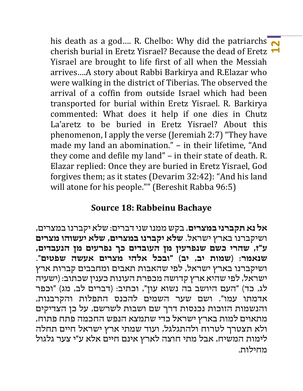**12** cherish burial in Eretz Yisrael? Because the dead of Eretz his death as a god.... R. Chelbo: Why did the patriarchs  $\overline{\bullet}$ Yisrael are brought to life first of all when the Messiah arrives….A story about Rabbi Barkirya and R.Elazar who were walking in the district of Tiberias. The observed the arrival of a coffin from outside Israel which had been transported for burial within Eretz Yisrael. R. Barkirya commented: What does it help if one dies in Chutz La'aretz to be buried in Eretz Yisrael? About this phenomenon, I apply the verse (Jeremiah 2:7) "They have made my land an abomination." – in their lifetime, "And they come and defile my land" – in their state of death. R. Elazar replied: Once they are buried in Eretz Yisrael, God forgives them; as it states (Devarim 32:42): "And his land will atone for his people."" (Bereshit Rabba 96:5)

# **Source 18: Rabbeinu Bachaye**

**אל נא תקברני במצרים.** בקש ממנו שני דברים: שלא יקברנו במצרים, ושיקברנו בארץ ישראל. **שלא יקברנו במצרים, שלא יעשוהו מצרים ע"ז, שהרי כשם שנפרעין מן העובדים כך נפרעים מן הנעבדים, שנאמר: )שמות יב, יב( "ובכל אלהי מצרים אעשה שפטים**". ושיקברנו בארץ ישראל, לפי שהאבות תאבים ומחבבים קברות ארץ ישראל, לפי שהיא ארץ קדושה מכפרת העונות כענין שכתוב: ) ישעיה לג, כד) "העם היושב בה נשוא עון", וכתיב: (דברים לב, מג) "וכפר אדמתו עמו". ושם שער השמים להכנס התפלות והקרבנות, והנשמות הזוכות נכנסות דרך שם ושבות לשרשם, על כן הצדיקים מתאוים למות בארץ ישראל כדי שתמצא הנפש החכמה פתח פתוח, ולא תצטרך לטרוח ולהתגלגל, ועוד שמתי ארץ ישראל חיים תחלה לימות המשיח, אבל מתי חוצה לארץ אינם חיים אלא ע"י צער גלגול מחילות.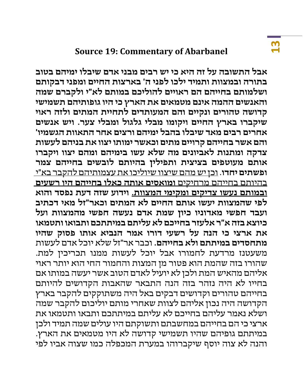**13**

# **Source 19: Commentary of Abarbanel**

**אבל התשובה על זה היא כי יש רבים מבני אדם שיבלו ימיהם בטוב בתורה ובמצוות ותמיד ילכו לפני ה' בארצות החיים ומפני דבקותם ושלמותם בחייהם הם ראויים להוליכם במותם לא"י ולקברם שמה והאנשים ההמה אינם מטמאים את הארץ כי היו גופותיהם תשמישי קדושה טהורים ונקיים והם המעותדים לתחיית המתים ולזה ראוי שיקברו בארץ החיים ויקומו מבלי גלגול ומבלי צער. ויש אנשים אחרים רבים מאד שיבלו בהבל ימיהם ורצים אחר התאוות הגשמיו' והם אשר בחייהם קרויים מתים וכאשר ימותו יצוו את בניהם לעשות צדקה ומתנות לאביונים מה שלא עשו בימיהם ומהם יצוו ויקברו אותם מעוטפים בציצית ותפילין בהיותם לובשים בחייהם צמר ופשתים יחדו**. וכן יש מהם שיצוו שיוליכו את עצמותיהם להקבר בא"י בהיותם בחייהם מרחיקים **ומואסים אותה כאלו בחייהם היו רשעים ובמותם נעשו צדיקים ומקימי המצוות. וידוע שזה דעת נפסד והוא לפי שהמצוות יעשו אותם החיים לא המתים וכאר"זל מאי דכתיב ועבד חפשי מאדוניו כיון שמת אדם נעשה חפשי מהמצוות ועל כיוצא בזה א"ר אלעזר בחייכם לא עליתם במיתתכם ותבואו ותטמאו את ארצי כי הנה על רשעי דורו אמר הנביא אותו פסוק שהיו מתחסדים במיתתם ולא בחייהם.** וכבר אר"זל שלא יוכל אדם לעשות משעטנז מרדעת לחמורו אבל יוכל לעשות ממנו תכריכין למת. שהורו בזה שהמת הוא פטור מן המצות והחמור החי הוא יותר ראוי אליהם מהאיש המת ולכן לא יועיל לאדם הטוב אשר יעשה במותו אם בחייו לא היה נזהר בזה הנה התבאר שהאבות הקדושים להיותם בחייהם טהורים וקדושים דבקים באל היה משתוקקים להקבר בארץ הקדושה היה נכון אליהם לצוות שאחרי מותם יוליכום להקבר שמה ושלא נאמר עליהם בחייכם לא עליתם במיתתכם ותבאו ותטמאו את ארצי כי הם בחייהם במחשבתם ותשוקתם היו עולים שמה תמיד ולכן במיתתם גופיהם שהיו תשמישי קדושה לא היו מטמאים את הארץ. והנה לא צוה יוסף שיקברוהו במערת המכפלה כמו שצוה אביו לפי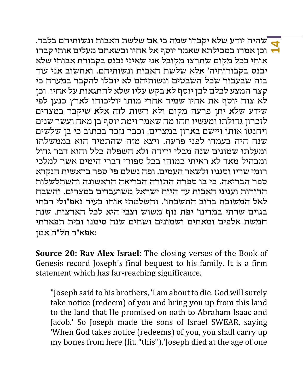**14** וכן אמרו במכילתא שאמר יוסף אל אחיו וכשאתם מעלים אותי קברו שהיה יודע שלא יקברו שמה כי אם שלשת האבות ונשותיהם בלבד. אותי בכל מקום שתרצו מקובל אני שאיני נכנס בקבורת אבותי שלא יכנס בקבורותיה' אלא שלשת האבות ונשותיהם. ואחשוב אני עוד בזה שבעבור שכל השבטים ונשותיהם לא יוכלו להקבר במערה כי קצר המצע לכלם לכן יוסף לא בקש עליו שלא להתגאות על אחיו. וכן לא צוה יוסף את אחיו שמיד אחרי מותו יוליכוהו לארץ כנען לפי שידע שלא יתן פרעה מקום ולא רשות לזה אלא שיקבר במצרים לזכרון גדולתו ומעשיו וזהו מה שאמר וימת יוסף בן מאה ועשר שנים ויחנטו אותו ויישם בארון במצרים. וכבר נזכר בכתוב כי בן שלשים שנה היה בעמדו לפני פרעה. ויצא מזה שהתמיד הוא בממשלתו ומעלתו שמונים שנה מבלי ירידה ולא השפלה כלל והוא דבר גדול ומבהיל מאד לא ראיתי כמוהו בכל ספורי דברי הימים אשר למלכי רומי שריו וסגניו ולשאר העמים. ופה נשלם פי' ספר בראשית הנקרא ספר הבריאה . כי בו ספרה התורה הבריאה הראשונה והשתלשלות הדורות ועניני האבות עד היות ישראל משועבדים במצרים. והשבח לאל המשובח ברוב התשבחו'. והשלמתי אותו בעיר נאפ"ולי רבתי בגוים שרתי במדינו' יפת נוף משוש וצבי היא לכל הארצות . שנת חמשת אלפים ומאתים ושמונים ושתים שנה סימנו ובית תפארתי :אפא"ר תל"ח אמן

**Source 20: Rav Alex Israel:** The closing verses of the Book of Genesis record Joseph's final bequest to his family. It is a firm statement which has far-reaching significance.

"Joseph said to his brothers, 'I am about to die. God will surely take notice (redeem) of you and bring you up from this land to the land that He promised on oath to Abraham Isaac and Jacob.' So Joseph made the sons of Israel SWEAR, saying 'When God takes notice (redeems) of you, you shall carry up my bones from here (lit. "this").'Joseph died at the age of one